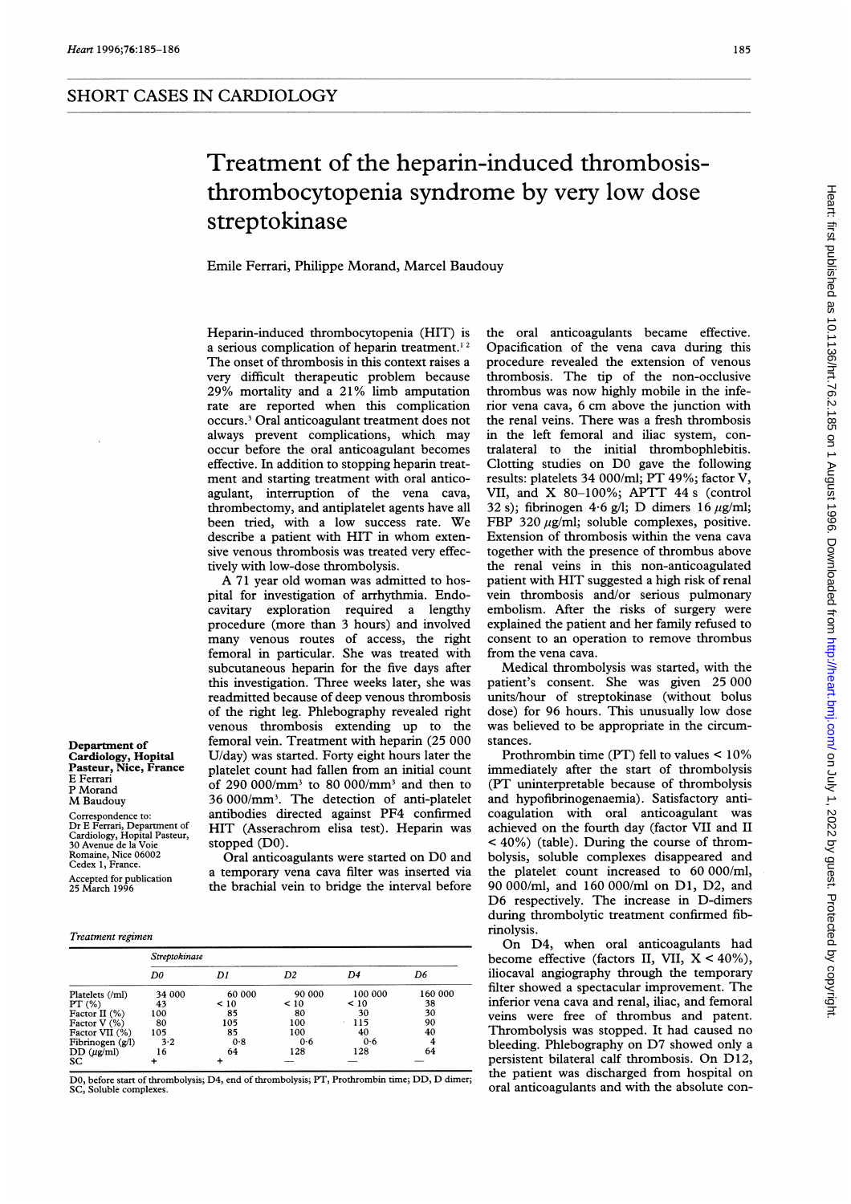## Treatment of the heparin-induced thrombosisthrombocytopenia syndrome by very low dose streptokinase

Emile Ferrari, Philippe Morand, Marcel Baudouy

Heparin-induced thrombocytopenia (HIT) is a serious complication of heparin treatment.<sup>12</sup> The onset of thrombosis in this context raises <sup>a</sup> very difficult therapeutic problem because 29% mortality and <sup>a</sup> 21% limb amputation rate are reported when this complication occurs.3 Oral anticoagulant treatment does not always prevent complications, which may occur before the oral anticoagulant becomes effective. In addition to stopping heparin treatment and starting treatment with oral anticoagulant, interruption of the vena cava, thrombectomy, and antiplatelet agents have all been tried, with <sup>a</sup> low success rate. We describe <sup>a</sup> patient with HIT in whom extensive venous thrombosis was treated very effectively with low-dose thrombolysis.

A <sup>71</sup> year old woman was admitted to hospital for investigation of arrhythmia. Endocavitary exploration required a lengthy procedure (more than 3 hours) and involved many venous routes of access, the right femoral in particular. She was treated with subcutaneous heparin for the five days after this investigation. Three weeks later, she was readmitted because of deep venous thrombosis of the right leg. Phlebography revealed right venous thrombosis extending up to the femoral vein. Treatment with heparin (25 000 U/day) was started. Forty eight hours later the platelet count had fallen from an initial count of 290 000/mm3 to 80 000/mm3 and then to 36 000/mm3. The detection of anti-platelet antibodies directed against PF4 confirmed HIT (Asserachrom elisa test). Heparin was stopped (DO).

Oral anticoagulants were started on DO and a temporary vena cava filter was inserted via the brachial vein to bridge the interval before

Opacification of the vena cava during this procedure revealed the extension of venous thrombosis. The tip of the non-occlusive thrombus was now highly mobile in the inferior vena cava, <sup>6</sup> cm above the junction with the renal veins. There was a fresh thrombosis in the left femoral and iliac system, contralateral to the initial thrombophlebitis. Clotting studies on DO gave the following results: platelets 34 000/ml; PT 49%; factor V, VII, and X 80-100%; APTT <sup>44</sup> <sup>s</sup> (control 32 s); fibrinogen 4.6 g/l; D dimers 16  $\mu$ g/ml; FBP 320  $\mu$ g/ml; soluble complexes, positive. Extension of thrombosis within the vena cava together with the presence of thrombus above the renal veins in this non-anticoagulated patient with HIT suggested <sup>a</sup> high risk of renal vein thrombosis and/or serious pulmonary embolism. After the risks of surgery were explained the patient and her family refused to consent to an operation to remove thrombus from the vena cava.

the oral anticoagulants became effective.

Medical thrombolysis was started, with the patient's consent. She was given 25 000 units/hour of streptokinase (without bolus dose) for 96 hours. This unusually low dose was believed to be appropriate in the circumstances.

Prothrombin time (PT) fell to values < 10% immediately after the start of thrombolysis (PT uninterpretable because of thrombolysis and hypofibrinogenaemia). Satisfactory anticoagulation with oral anticoagulant was achieved on the fourth day (factor VII and II < 40%) (table). During the course of thrombolysis, soluble complexes disappeared and the platelet count increased to 60 000/ml, 90 000/ml, and 160 000/ml on D1, D2, and D6 respectively. The increase in D-dimers during thrombolytic treatment confirmed fibrinolysis.

On D4, when oral anticoagulants had become effective (factors II, VII,  $X < 40\%$ ), iliocaval angiography through the temporary filter showed <sup>a</sup> spectacular improvement. The inferior vena cava and renal, iliac, and femoral veins were free of thrombus and patent. Thrombolysis was stopped. It had caused no bleeding. Phlebography on D7 showed only <sup>a</sup> persistent bilateral calf thrombosis. On D12, the patient was discharged from hospital on oral anticoagulants and with the absolute con-

Department of Cardiology, Hopital Pasteur, Nice, France E Ferrari P Morand M Baudouy Correspondence to: Dr E Ferrari, Department of Cardiology, Hopital Pasteur, 30 Avenue de la Voie Romaine, Nice 06002 Cedex 1, France.

Accepted for publication 25 March 1996

## Treatment regimen

|                  | Streptokinase |        |           |                |         |
|------------------|---------------|--------|-----------|----------------|---------|
|                  | D0            | D1     | D2        | D <sub>4</sub> | D6      |
| Platelets (/ml)  | 34 000        | 60 000 | 90 000    | 100 000        | 160 000 |
| PT(%)            | 43            | < 10   | $\leq 10$ | < 10           | 38      |
| Factor II (%)    | 100           | 85     | 80        | 30             | 30      |
| Factor $V(\%)$   | 80            | 105    | 100       | 115            | 90      |
| Factor VII (%)   | 105           | 85     | 100       | 40             | 40      |
| Fibrinogen (g/l) | 3.2           | 0.8    | 0.6       | 0.6            |         |
| $DD(\mu g/ml)$   | 16            | 64     | 128       | 128            | 64      |
| SC               |               |        |           |                |         |

DO, before start of thrombolysis; D4, end of thrombolysis; PT, Prothrombin time; DD, D dimer; SC, Soluble complexes